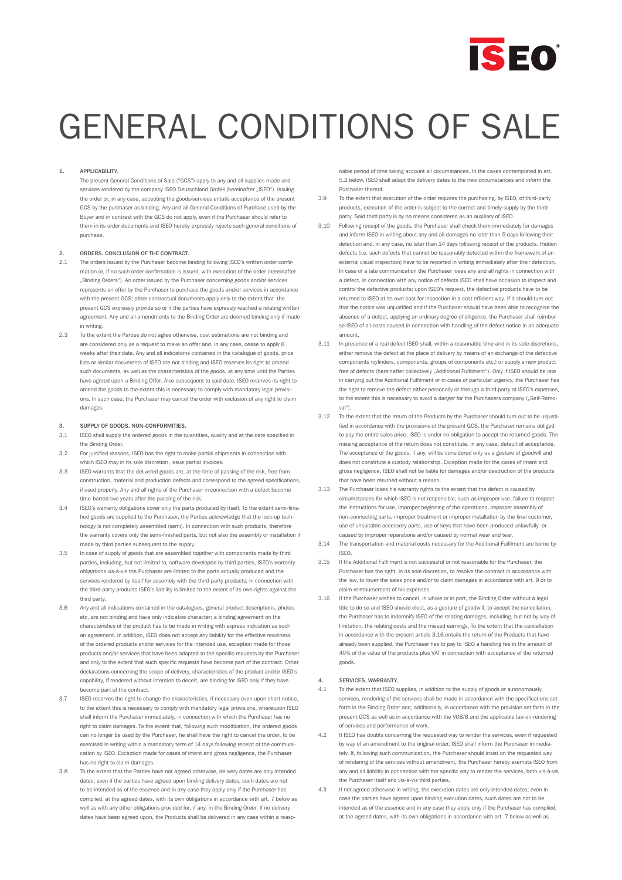

## 1. APPLICABILITY.

The present General Conditions of Sale ("GCS") apply to any and all supplies made and services rendered by the company ISEO Deutschland GmbH (hereinafter "ISEO"). Issuing the order or, in any case, accepting the goods/services entails acceptance of the present GCS by the purchaser as binding. Any and all General Conditions of Purchase used by the Buyer and in contrast with the GCS do not apply, even if the Purchaser should refer to them in its order documents and ISEO hereby expressly rejects such general conditions of purchase.

### 2. ORDERS. CONCLUSION OF THE CONTRACT.

- 2.1 The orders issued by the Purchaser become binding following ISEO's written order confirmation or, if no such order confirmation is issued, with execution of the order (hereinafter "Binding Orders"). An order issued by the Purchaser concerning goods and/or services represents an offer by the Purchaser to purchase the goods and/or services in accordance with the present GCS; other contractual documents apply only to the extent that the present GCS expressly provide so or if the parties have expressly reached a relating written agreement. Any and all amendments to the Binding Order are deemed binding only if made in writing.
- 2.3 To the extent the Parties do not agree otherwise, cost estimations are not binding and are considered only as a request to make an offer and, in any case, cease to apply 6 weeks after their date. Any and all indications contained in the catalogue of goods, price lists or similar documents of ISEO are not binding and ISEO reserves its right to amend such documents, as well as the characteristics of the goods, at any time until the Parties have agreed upon a Binding Offer. Also subsequent to said date, ISEO reserves its right to amend the goods to the extent this is necessary to comply with mandatory legal provisions. In such case, the Purchaser may cancel the order with exclusion of any right to claim damages.

#### 3. SUPPLY OF GOODS. NON-CONFORMITIES.

- 3.1 ISEO shall supply the ordered goods in the quantities, quality and at the date specified in the Binding Order
- 3.2 For justified reasons, ISEO has the right to make partial shipments in connection with which ISEO may in its sole discretion, issue partial invoices.
- 3.3 ISEO warrants that the delivered goods are, at the time of passing of the risk, free from construction, material and production defects and correspond to the agreed specifications, if used properly. Any and all rights of the Purchaser in connection with a defect become time-barred two years after the passing of the risk.
- 3.4 ISEO's warranty obligations cover only the parts produced by itself. To the extent semi-finished goods are supplied to the Purchaser, the Parties acknowledge that the lock-up technology is not completely assembled (semi). In connection with such products, therefore the warranty covers only the semi-finished parts, but not also the assembly or installation if made by third parties subsequent to the supply.
- 3.5 In case of supply of goods that are assembled together with components made by third parties, including, but not limited to, software developed by third parties, ISEO's warranty obligations vis-à-vis the Purchaser are limited to the parts actually produced and the services rendered by itself for assembly with the third-party products; in connection with the third-party products ISEO's liability is limited to the extent of its own rights against the third party.
- 3.6 Any and all indications contained in the catalogues, general product descriptions, photos etc. are not binding and have only indicative character; a binding agreement on the characteristics of the product has to be made in writing with express indication as such an agreement. In addition, ISEO does not accept any liability for the effective readiness of the ordered products and/or services for the intended use, exception made for those products and/or services that have been adapted to the specific requests by the Purchaser and only to the extent that such specific requests have become part of the contract. Other declarations concerning the scope of delivery, characteristics of the product and/or ISEO's capability, if rendered without intention to deceit, are binding for ISEO only if they have become part of the contract.
- ISEO reserves the right to change the characteristics, if necessary even upon short notice to the extent this is necessary to comply with mandatory legal provisions, whereupon ISEO shall inform the Purchaser immediately, in connection with which the Purchaser has no right to claim damages. To the extent that, following such modification, the ordered goods can no longer be used by the Purchaser, he shall have the right to cancel the order, to be exercised in writing within a mandatory term of 14 days following receipt of the communication by ISEO. Exception made for cases of intent and gross negligence, the Purchaser has no right to claim damages.
- 3.8 To the extent that the Parties have not agreed otherwise, delivery dates are only intended dates; even if the parties have agreed upon binding delivery dates, such dates are not to be intended as of the essence and in any case they apply only if the Purchaser has complied, at the agreed dates, with its own obligations in accordance with art. 7 below as well as with any other obligations provided for, if any, in the Binding Order. If no delivery dates have been agreed upon, the Products shall be delivered in any case within a reaso-

nable period of time taking account all circumstances. In the cases contemplated in art. 5.2 below, ISEO shall adapt the delivery dates to the new circumstances and inform the Purchaser thereof.

- 3.9 To the extent that execution of the order requires the purchasing, by ISEO, of third-party products, execution of the order is subject to the correct and timely supply by the third party. Said third party is by no means considered as an auxiliary of ISEO.
- 3.10 Following receipt of the goods, the Purchaser shall check them immediately for damages and inform ISEO in writing about any and all damages no later than 5 days following their detection and, in any case, no later than 14 days following receipt of the products. Hidden defects (i.e. such defects that cannot be reasonably detected within the framework of an external visual inspection) have to be reported in writing immediately after their detection. In case of a late communication the Purchaser loses any and all rights in connection with a defect. In connection with any notice of defects ISEO shall have occasion to inspect and control the defective products; upon ISEO's request, the defective products have to be returned to ISEO at its own cost for inspection in a cost efficient way. If it should turn out that the notice was unjustified and if the Purchaser should have been able to recognise the absence of a defect, applying an ordinary degree of diligence, the Purchaser shall reimburse ISEO of all costs caused in connection with handling of the defect notice in an adequate amount.
- 3.11 In presence of a real defect ISEO shall, within a reasonable time and in its sole discretions, either remove the defect at the place of delivery by means of an exchange of the defective components (cylinders, components, groups of components etc.) or supply e new product free of defects (hereinafter collectively "Additional Fulfilment"). Only if ISEO should be late in carrying out the Additional Fulfilment or in cases of particular urgency, the Purchaser has the right to remove the defect either personally or through a third party at ISEO's expenses, to the extent this is necessary to avoid a danger for the Purchasers company ("Self-Removal").
- 3.12 To the extent that the return of the Products by the Purchaser should turn out to be unjustified in accordance with the provisions of the present GCS, the Purchaser remains obliged to pay the entire sales price. ISEO is under no obligation to accept the returned goods. The missing acceptance of the return does not constitute, in any case, default of acceptance. The acceptance of the goods, if any, will be considered only as a gesture of goodwill and does not constitute a custody relationship. Exception made for the cases of intent and gross negligence, ISEO shall not be liable for damages and/or destruction of the products that have been returned without a reason.
- 3.13 The Purchaser loses his warranty rights to the extent that the defect is caused by circumstances for which ISEO is not responsible, such as improper use, failure to respect the instructions for use, improper beginning of the operations, improper assembly of non-connecting parts, improper treatment or improper installation by the final customer, use of unsuitable accessory parts, use of keys that have been produced unlawfully or caused by improper reparations and/or caused by normal wear and tear.
- 3.14 The transportation and material costs necessary for the Additional Fulfilment are borne by ISEO.
- 3.15 If the Additional Fulfilment is not successful or not reasonable for the Purchaser, the Purchaser has the right, in its sole discretion, to resolve the contract in accordance with the law, to lower the sales price and/or to claim damages in accordance with art. 9 or to claim reimbursement of his expenses.
- 3.16 If the Purchaser wishes to cancel, in whole or in part, the Binding Order without a legal title to do so and ISEO should elect, as a gesture of goodwill, to accept the cancellation, the Purchaser has to indemnify ISEO of the relating damages, including, but not by way of limitation, the relating costs and the missed earnings. To the extent that the cancellation in accordance with the present article 3.16 entails the return of the Products that have already been supplied, the Purchaser has to pay to ISEO a handling fee in the amount of 40% of the value of the products plus VAT in connection with acceptance of the returned goods.

# 4. SERVICES. WARRANTY.

- 4.1 To the extent that ISEO supplies, in addition to the supply of goods or autonomously, services, rendering of the services shall be made in accordance with the specifications set forth in the Binding Order and, additionally, in accordance with the provision set forth in the present GCS as well as in accordance with the VOB/B and the applicable law on rendering of services and performance of work.
- 4.2 If ISEO has doubts concerning the requested way to render the services, even if requested by way of an amendment to the original order, ISEO shall inform the Purchaser immediately. If, following such communication, the Purchaser should insist on the requested way of rendering of the services without amendment, the Purchaser hereby exempts ISEO from any and all liability in connection with the specific way to render the services, both vis-à-vis the Purchaser itself and vis-à-vis third parties.
- 4.3 If not agreed otherwise in writing, the execution dates are only intended dates; even in case the parties have agreed upon binding execution dates, such dates are not to be intended as of the essence and in any case they apply only if the Purchaser has complied, at the agreed dates, with its own obligations in accordance with art. 7 below as well as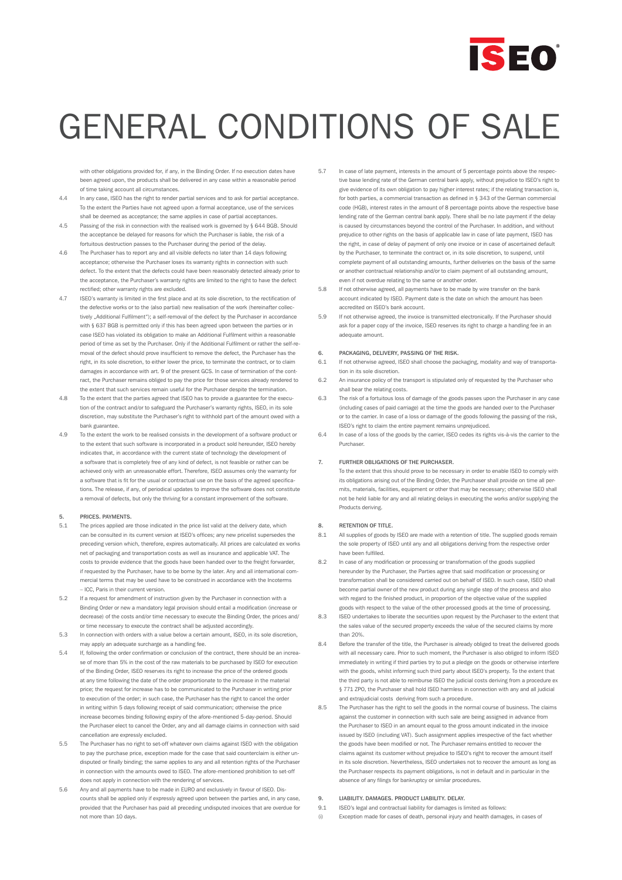

with other obligations provided for, if any, in the Binding Order. If no execution dates have been agreed upon, the products shall be delivered in any case within a reasonable period of time taking account all circumstances.

- 4.4 In any case, ISEO has the right to render partial services and to ask for partial acceptance. To the extent the Parties have not agreed upon a formal acceptance, use of the services shall be deemed as acceptance; the same applies in case of partial acceptances.
- 4.5 Passing of the risk in connection with the realised work is governed by § 644 BGB. Should the acceptance be delayed for reasons for which the Purchaser is liable, the risk of a fortuitous destruction passes to the Purchaser during the period of the delay.
- 4.6 The Purchaser has to report any and all visible defects no later than 14 days following acceptance; otherwise the Purchaser loses its warranty rights in connection with such defect. To the extent that the defects could have been reasonably detected already prior to the acceptance, the Purchaser's warranty rights are limited to the right to have the defect rectified; other warranty rights are excluded.
- 4.7 ISEO's warranty is limited in the first place and at its sole discretion, to the rectification of the defective works or to the (also partial) new realisation of the work (hereinafter collectively "Additional Fulfilment"); a self-removal of the defect by the Purchaser in accordance with § 637 BGB is permitted only if this has been agreed upon between the parties or in case ISEO has violated its obligation to make an Additional Fulfilment within a reasonable period of time as set by the Purchaser. Only if the Additional Fulfilment or rather the self-removal of the defect should prove insufficient to remove the defect, the Purchaser has the right, in its sole discretion, to either lower the price, to terminate the contract, or to claim damages in accordance with art. 9 of the present GCS. In case of termination of the contract, the Purchaser remains obliged to pay the price for those services already rendered to the extent that such services remain useful for the Purchaser despite the termination.
- 4.8 To the extent that the parties agreed that ISEO has to provide a guarantee for the execution of the contract and/or to safeguard the Purchaser's warranty rights, ISEO, in its sole discretion, may substitute the Purchaser's right to withhold part of the amount owed with a bank guarantee.
- 4.9 To the extent the work to be realised consists in the development of a software product or to the extent that such software is incorporated in a product sold hereunder, ISEO hereby indicates that, in accordance with the current state of technology the development of a software that is completely free of any kind of defect, is not feasible or rather can be achieved only with an unreasonable effort. Therefore, ISEO assumes only the warranty for a software that is fit for the usual or contractual use on the basis of the agreed specifications. The release, if any, of periodical updates to improve the software does not constitute a removal of defects, but only the thriving for a constant improvement of the software.

### 5. PRICES. PAYMENTS.

- 5.1 The prices applied are those indicated in the price list valid at the delivery date, which can be consulted in its current version at ISEO's offices; any new pricelist supersedes the preceding version which, therefore, expires automatically. All prices are calculated ex works net of packaging and transportation costs as well as insurance and applicable VAT. The costs to provide evidence that the goods have been handed over to the freight forwarder, if requested by the Purchaser, have to be borne by the later. Any and all international commercial terms that may be used have to be construed in accordance with the Incoterms – ICC, Paris in their current version.
- 5.2 If a request for amendment of instruction given by the Purchaser in connection with a Binding Order or new a mandatory legal provision should entail a modification (increase or decrease) of the costs and/or time necessary to execute the Binding Order, the prices and/ or time necessary to execute the contract shall be adjusted accordingly.
- 5.3 In connection with orders with a value below a certain amount, ISEO, in its sole discretion, may apply an adequate surcharge as a handling fee.
- 5.4 If, following the order confirmation or conclusion of the contract, there should be an increase of more than 5% in the cost of the raw materials to be purchased by ISEO for execution of the Binding Order, ISEO reserves its right to increase the price of the ordered goods at any time following the date of the order proportionate to the increase in the material price; the request for increase has to be communicated to the Purchaser in writing prior to execution of the order; in such case, the Purchaser has the right to cancel the order in writing within 5 days following receipt of said communication; otherwise the price increase becomes binding following expiry of the afore-mentioned 5-day-period. Should the Purchaser elect to cancel the Order, any and all damage claims in connection with said cancellation are expressly excluded.
- 5.5 The Purchaser has no right to set-off whatever own claims against ISEO with the obligation to pay the purchase price, exception made for the case that said counterclaim is either undisputed or finally binding; the same applies to any and all retention rights of the Purchaser in connection with the amounts owed to ISEO. The afore-mentioned prohibition to set-off does not apply in connection with the rendering of services.
- 5.6 Any and all payments have to be made in EURO and exclusively in favour of ISEO. Discounts shall be applied only if expressly agreed upon between the parties and, in any case, provided that the Purchaser has paid all preceding undisputed invoices that are overdue for not more than 10 days.
- 5.7 In case of late payment, interests in the amount of 5 percentage points above the respective base lending rate of the German central bank apply, without prejudice to ISEO's right to give evidence of its own obligation to pay higher interest rates; if the relating transaction is, for both parties, a commercial transaction as defined in § 343 of the German commercial code (HGB), interest rates in the amount of 8 percentage points above the respective base lending rate of the German central bank apply. There shall be no late payment if the delay is caused by circumstances beyond the control of the Purchaser. In addition, and without prejudice to other rights on the basis of applicable law in case of late payment, ISEO has the right, in case of delay of payment of only one invoice or in case of ascertained default by the Purchaser, to terminate the contract or, in its sole discretion, to suspend, until complete payment of all outstanding amounts, further deliveries on the basis of the same or another contractual relationship and/or to claim payment of all outstanding amount, even if not overdue relating to the same or another order.
- 5.8 If not otherwise agreed, all payments have to be made by wire transfer on the bank account indicated by ISEO. Payment date is the date on which the amount has been accredited on ISEO's bank account.
- 5.9 If not otherwise agreed, the invoice is transmitted electronically. If the Purchaser should ask for a paper copy of the invoice, ISEO reserves its right to charge a handling fee in an adequate amount.

### 6. PACKAGING, DELIVERY, PASSING OF THE RISK.

- 6.1 If not otherwise agreed, ISEO shall choose the packaging, modality and way of transportation in its sole discretion.
- 6.2 An insurance policy of the transport is stipulated only of requested by the Purchaser who shall bear the relating costs.
- 6.3 The risk of a fortuitous loss of damage of the goods passes upon the Purchaser in any case (including cases of paid carriage) at the time the goods are handed over to the Purchaser or to the carrier. In case of a loss or damage of the goods following the passing of the risk, ISEO's right to claim the entire payment remains unprejudiced.
- 6.4 In case of a loss of the goods by the carrier, ISEO cedes its rights vis-à-vis the carrier to the Purchaser.

## 7. FURTHER OBLIGATIONS OF THE PURCHASER.

To the extent that this should prove to be necessary in order to enable ISEO to comply with its obligations arising out of the Binding Order, the Purchaser shall provide on time all permits, materials, facilities, equipment or other that may be necessary; otherwise ISEO shall not be held liable for any and all relating delays in executing the works and/or supplying the Products deriving.

#### 8. RETENTION OF TITLE.

- 8.1 All supplies of goods by ISEO are made with a retention of title. The supplied goods remain the sole property of ISEO until any and all obligations deriving from the respective order have been fulfilled.
- 8.2 In case of any modification or processing or transformation of the goods supplied hereunder by the Purchaser, the Parties agree that said modification or processing or transformation shall be considered carried out on behalf of ISEO. In such case, ISEO shall become partial owner of the new product during any single step of the process and also with regard to the finished product, in proportion of the objective value of the supplied goods with respect to the value of the other processed goods at the time of processing.
- 8.3 ISEO undertakes to liberate the securities upon request by the Purchaser to the extent that the sales value of the secured property exceeds the value of the secured claims by more than 20%.
- 8.4 Before the transfer of the title, the Purchaser is already obliged to treat the delivered goods with all necessary care. Prior to such moment, the Purchaser is also obliged to inform ISEO immediately in writing if third parties try to put a pledge on the goods or otherwise interfere with the goods, whilst informing such third party about ISEO's property. To the extent that the third party is not able to reimburse ISEO the judicial costs deriving from a procedure ex § 771 ZPO, the Purchaser shall hold ISEO harmless in connection with any and all judicial and extrajudicial costs deriving from such a procedure.
- 8.5 The Purchaser has the right to sell the goods in the normal course of business. The claims against the customer in connection with such sale are being assigned in advance from the Purchaser to ISEO in an amount equal to the gross amount indicated in the invoice issued by ISEO (including VAT). Such assignment applies irrespective of the fact whether the goods have been modified or not. The Purchaser remains entitled to recover the claims against its customer without prejudice to ISEO's right to recover the amount itself in its sole discretion. Nevertheless, ISEO undertakes not to recover the amount as long as the Purchaser respects its payment obligations, is not in default and in particular in the absence of any filings for bankruptcy or similar procedures.

## 9. LIABILITY. DAMAGES. PRODUCT LIABILITY. DELAY.

- 9.1 ISEO's legal and contractual liability for damages is limited as follows:
- (i) Exception made for cases of death, personal injury and health damages, in cases of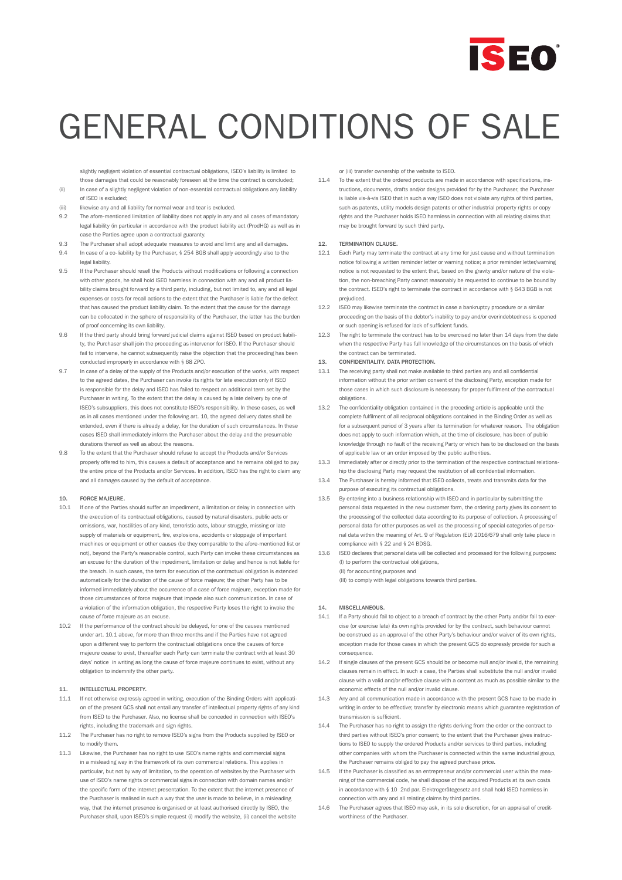

slightly negligent violation of essential contractual obligations, ISEO's liability is limited to those damages that could be reasonably foreseen at the time the contract is concluded; (ii) In case of a slightly negligent violation of non-essential contractual obligations any liability

- of ISEO is excluded; (iii) likewise any and all liability for normal wear and tear is excluded.
- 9.2 The afore-mentioned limitation of liability does not apply in any and all cases of mandatory legal liability (in particular in accordance with the product liability act (ProdHG) as well as in case the Parties agree upon a contractual guaranty.
- 9.3 The Purchaser shall adopt adequate measures to avoid and limit any and all damages.
- 9.4 In case of a co-liability by the Purchaser, § 254 BGB shall apply accordingly also to the legal liability.
- 9.5 If the Purchaser should resell the Products without modifications or following a connection with other goods, he shall hold ISEO harmless in connection with any and all product liability claims brought forward by a third party, including, but not limited to, any and all legal expenses or costs for recall actions to the extent that the Purchaser is liable for the defect that has caused the product liability claim. To the extent that the cause for the damage can be collocated in the sphere of responsibility of the Purchaser, the latter has the burden of proof concerning its own liability.
- 9.6 If the third party should bring forward judicial claims against ISEO based on product liability, the Purchaser shall join the proceeding as intervenor for ISEO. If the Purchaser should fail to intervene, he cannot subsequently raise the objection that the proceeding has been conducted improperly in accordance with § 68 ZPO.
- 9.7 In case of a delay of the supply of the Products and/or execution of the works, with respect to the agreed dates, the Purchaser can invoke its rights for late execution only if ISEO is responsible for the delay and ISEO has failed to respect an additional term set by the Purchaser in writing. To the extent that the delay is caused by a late delivery by one of ISEO's subsuppliers, this does not constitute ISEO's responsibility. In these cases, as well as in all cases mentioned under the following art. 10, the agreed delivery dates shall be extended, even if there is already a delay, for the duration of such circumstances. In these cases ISEO shall immediately inform the Purchaser about the delay and the presumable durations thereof as well as about the reasons.
- 9.8 To the extent that the Purchaser should refuse to accept the Products and/or Services properly offered to him, this causes a default of acceptance and he remains obliged to pay the entire price of the Products and/or Services. In addition, ISEO has the right to claim any and all damages caused by the default of acceptance.

## 10. FORCE MAJEURE.

- 10.1 If one of the Parties should suffer an impediment, a limitation or delay in connection with the execution of its contractual obligations, caused by natural disasters, public acts or omissions, war, hostilities of any kind, terroristic acts, labour struggle, missing or late supply of materials or equipment, fire, explosions, accidents or stoppage of important machines or equipment or other causes (be they comparable to the afore-mentioned list or not), beyond the Party's reasonable control, such Party can invoke these circumstances as an excuse for the duration of the impediment, limitation or delay and hence is not liable for the breach. In such cases, the term for execution of the contractual obligation is extended automatically for the duration of the cause of force majeure; the other Party has to be informed immediately about the occurrence of a case of force majeure, exception made for those circumstances of force majeure that impede also such communication. In case of a violation of the information obligation, the respective Party loses the right to invoke the cause of force majeure as an excuse.
- 10.2 If the performance of the contract should be delayed, for one of the causes mentioned under art. 10.1 above, for more than three months and if the Parties have not agreed upon a different way to perform the contractual obligations once the causes of force majeure cease to exist, thereafter each Party can terminate the contract with at least 30 days' notice in writing as long the cause of force majeure continues to exist, without any obligation to indemnify the other party.

#### 11. INTELLECTUAL PROPERTY.

- 11.1 If not otherwise expressly agreed in writing, execution of the Binding Orders with application of the present GCS shall not entail any transfer of intellectual property rights of any kind from ISEO to the Purchaser. Also, no license shall be conceded in connection with ISEO's rights, including the trademark and sign rights.
- 11.2 The Purchaser has no right to remove ISEO's signs from the Products supplied by ISEO or to modify them.
- 11.3 Likewise, the Purchaser has no right to use ISEO's name rights and commercial signs in a misleading way in the framework of its own commercial relations. This applies in particular, but not by way of limitation, to the operation of websites by the Purchaser with use of ISEO's name rights or commercial signs in connection with domain names and/or the specific form of the internet presentation. To the extent that the internet presence of the Purchaser is realised in such a way that the user is made to believe, in a misleading way, that the internet presence is organised or at least authorised directly by ISEO, the Purchaser shall, upon ISEO's simple request (i) modify the website, (ii) cancel the website

or (iii) transfer ownership of the website to ISEO.

11.4 To the extent that the ordered products are made in accordance with specifications, instructions, documents, drafts and/or designs provided for by the Purchaser, the Purchaser is liable vis-à-vis ISEO that in such a way ISEO does not violate any rights of third parties, such as patents, utility models design patents or other industrial property rights or copy rights and the Purchaser holds ISEO harmless in connection with all relating claims that may be brought forward by such third party.

### 12. TERMINATION CLAUSE.

- 12.1 Each Party may terminate the contract at any time for just cause and without termination notice following a written reminder letter or warning notice; a prior reminder letter/warning notice is not requested to the extent that, based on the gravity and/or nature of the violation, the non-breaching Party cannot reasonably be requested to continue to be bound by the contract. ISEO's right to terminate the contract in accordance with § 643 BGB is not prejudiced.
- 12.2 ISEO may likewise terminate the contract in case a bankruptcy procedure or a similar proceeding on the basis of the debtor's inability to pay and/or overindebtedness is opened or such opening is refused for lack of sufficient funds.
- 12.3 The right to terminate the contract has to be exercised no later than 14 days from the date when the respective Party has full knowledge of the circumstances on the basis of which the contract can be terminated.

#### 13. CONFIDENTIALITY. DATA PROTECTION.

- 13.1 The receiving party shall not make available to third parties any and all confidential information without the prior written consent of the disclosing Party, exception made for those cases in which such disclosure is necessary for proper fulfilment of the contractual obligations.
- 13.2 The confidentiality obligation contained in the preceding article is applicable until the complete fulfilment of all reciprocal obligations contained in the Binding Order as well as for a subsequent period of 3 years after its termination for whatever reason. The obligation does not apply to such information which, at the time of disclosure, has been of public knowledge through no fault of the receiving Party or which has to be disclosed on the basis of applicable law or an order imposed by the public authorities.
- 13.3 Immediately after or directly prior to the termination of the respective contractual relationship the disclosing Party may request the restitution of all confidential information.
- 13.4 The Purchaser is hereby informed that ISEO collects, treats and transmits data for the purpose of executing its contractual obligations.
- 13.5 By entering into a business relationship with ISEO and in particular by submitting the personal data requested in the new customer form, the ordering party gives its consent to the processing of the collected data according to its purpose of collection. A processing of personal data for other purposes as well as the processing of special categories of personal data within the meaning of Art. 9 of Regulation (EU) 2016/679 shall only take place in compliance with § 22 and § 24 BDSG.
- 13.6 ISEO declares that personal data will be collected and processed for the following purposes: (I) to perform the contractual obligations,

 (II) for accounting purposes and (III) to comply with legal obligations towards third parties.

## 14. MISCELLANEOUS.

- 14.1 If a Party should fail to object to a breach of contract by the other Party and/or fail to exercise (or exercise late) its own rights provided for by the contract, such behaviour cannot be construed as an approval of the other Party's behaviour and/or waiver of its own rights, exception made for those cases in which the present GCS do expressly provide for such a consequence.
- 14.2 If single clauses of the present GCS should be or become null and/or invalid, the remaining clauses remain in effect. In such a case, the Parties shall substitute the null and/or invalid clause with a valid and/or effective clause with a content as much as possible similar to the economic effects of the null and/or invalid clause.
- 14.3 Any and all communication made in accordance with the present GCS have to be made in writing in order to be effective; transfer by electronic means which guarantee registration of transmission is sufficient.
- 14.4 The Purchaser has no right to assign the rights deriving from the order or the contract to third narties without ISEO's prior consent; to the extent that the Purchaser gives instructions to ISEO to supply the ordered Products and/or services to third parties, including other companies with whom the Purchaser is connected within the same industrial group, the Purchaser remains obliged to pay the agreed purchase price.
- If the Purchaser is classified as an entrepreneur and/or commercial user within the meaning of the commercial code, he shall dispose of the acquired Products at its own costs in accordance with § 10 2nd par. Elektrogerätegesetz and shall hold ISEO harmless in connection with any and all relating claims by third parties.
- 14.6 The Purchaser agrees that ISEO may ask, in its sole discretion, for an appraisal of creditworthiness of the Purchaser.